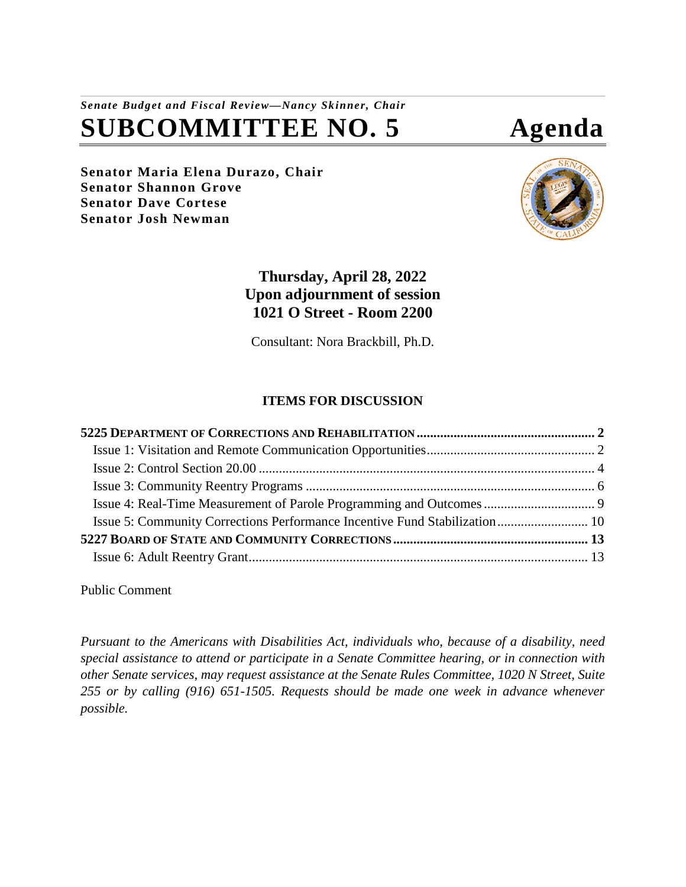# *Senate Budget and Fiscal Review—Nancy Skinner, Chair* **SUBCOMMITTEE NO. 5 Agenda**

**Senator Maria Elena Durazo, Chair Senator Shannon Grove Senator Dave Cortese Senator Josh Newman**



# **Thursday, April 28, 2022 Upon adjournment of session 1021 O Street - Room 2200**

Consultant: Nora Brackbill, Ph.D.

# **ITEMS FOR DISCUSSION**

| Issue 5: Community Corrections Performance Incentive Fund Stabilization 10 |  |
|----------------------------------------------------------------------------|--|
|                                                                            |  |
|                                                                            |  |

Public Comment

*Pursuant to the Americans with Disabilities Act, individuals who, because of a disability, need special assistance to attend or participate in a Senate Committee hearing, or in connection with other Senate services, may request assistance at the Senate Rules Committee, 1020 N Street, Suite 255 or by calling (916) 651-1505. Requests should be made one week in advance whenever possible.*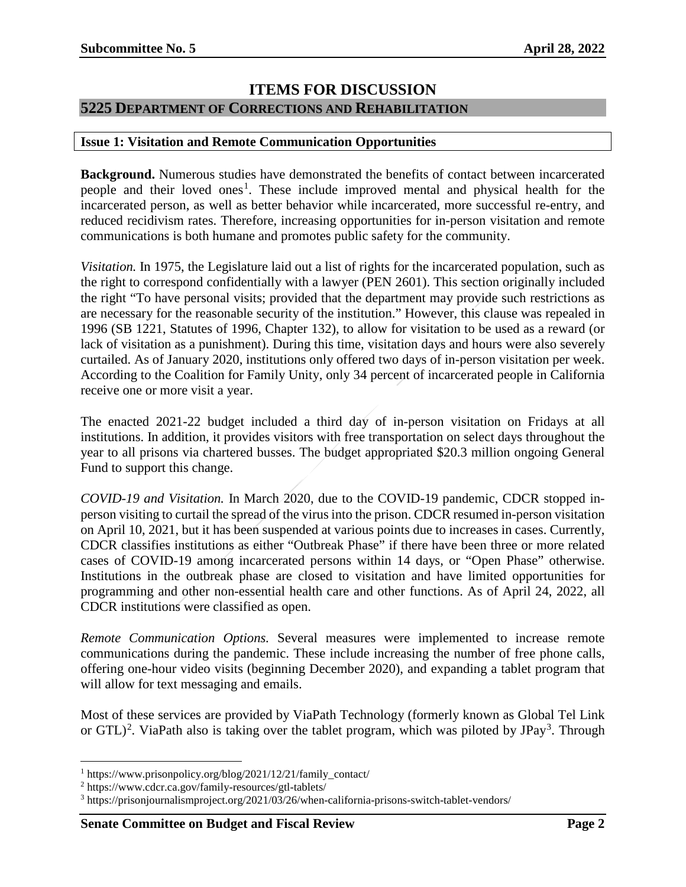## **ITEMS FOR DISCUSSION**

### <span id="page-1-0"></span>**5225 DEPARTMENT OF CORRECTIONS AND REHABILITATION**

#### <span id="page-1-1"></span>**Issue 1: Visitation and Remote Communication Opportunities**

**Background.** Numerous studies have demonstrated the benefits of contact between incarcerated people and their loved ones<sup>[1](#page-1-2)</sup>. These include improved mental and physical health for the incarcerated person, as well as better behavior while incarcerated, more successful re-entry, and reduced recidivism rates. Therefore, increasing opportunities for in-person visitation and remote communications is both humane and promotes public safety for the community.

*Visitation.* In 1975, the Legislature laid out a list of rights for the incarcerated population, such as the right to correspond confidentially with a lawyer (PEN 2601). This section originally included the right "To have personal visits; provided that the department may provide such restrictions as are necessary for the reasonable security of the institution." However, this clause was repealed in 1996 (SB 1221, Statutes of 1996, Chapter 132), to allow for visitation to be used as a reward (or lack of visitation as a punishment). During this time, visitation days and hours were also severely curtailed. As of January 2020, institutions only offered two days of in-person visitation per week. According to the Coalition for Family Unity, only 34 percent of incarcerated people in California receive one or more visit a year.

The enacted 2021-22 budget included a third day of in-person visitation on Fridays at all institutions. In addition, it provides visitors with free transportation on select days throughout the year to all prisons via chartered busses. The budget appropriated \$20.3 million ongoing General Fund to support this change.

*COVID-19 and Visitation.* In March 2020, due to the COVID-19 pandemic, CDCR stopped inperson visiting to curtail the spread of the virus into the prison. CDCR resumed in-person visitation on April 10, 2021, but it has been suspended at various points due to increases in cases. Currently, CDCR classifies institutions as either "Outbreak Phase" if there have been three or more related cases of COVID-19 among incarcerated persons within 14 days, or "Open Phase" otherwise. Institutions in the outbreak phase are closed to visitation and have limited opportunities for programming and other non-essential health care and other functions. As of April 24, 2022, all CDCR institutions were classified as open.

*Remote Communication Options.* Several measures were implemented to increase remote communications during the pandemic. These include increasing the number of free phone calls, offering one-hour video visits (beginning December 2020), and expanding a tablet program that will allow for text messaging and emails.

Most of these services are provided by ViaPath Technology (formerly known as Global Tel Link or GTL $)^2$  $)^2$ . ViaPath also is taking over the tablet program, which was piloted by JPay<sup>[3](#page-1-4)</sup>. Through

<span id="page-1-2"></span><sup>&</sup>lt;sup>1</sup> https://www.prisonpolicy.org/blog/2021/12/21/family\_contact/

<span id="page-1-3"></span><sup>2</sup> https://www.cdcr.ca.gov/family-resources/gtl-tablets/

<span id="page-1-4"></span><sup>3</sup> https://prisonjournalismproject.org/2021/03/26/when-california-prisons-switch-tablet-vendors/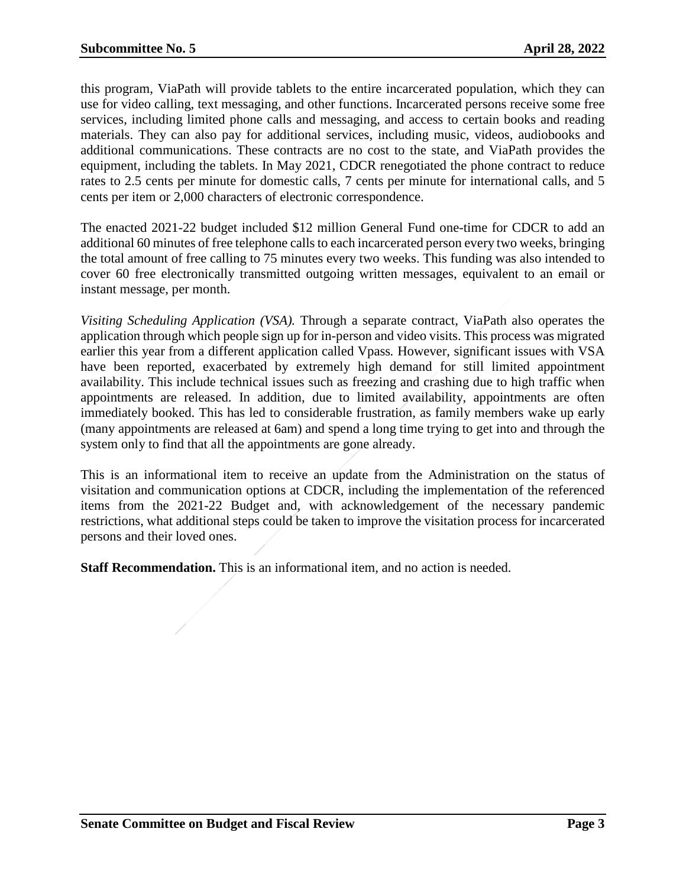this program, ViaPath will provide tablets to the entire incarcerated population, which they can use for video calling, text messaging, and other functions. Incarcerated persons receive some free services, including limited phone calls and messaging, and access to certain books and reading materials. They can also pay for additional services, including music, videos, audiobooks and additional communications. These contracts are no cost to the state, and ViaPath provides the equipment, including the tablets. In May 2021, CDCR renegotiated the phone contract to reduce rates to 2.5 cents per minute for domestic calls, 7 cents per minute for international calls, and 5 cents per item or 2,000 characters of electronic correspondence.

The enacted 2021-22 budget included \$12 million General Fund one-time for CDCR to add an additional 60 minutes of free telephone calls to each incarcerated person every two weeks, bringing the total amount of free calling to 75 minutes every two weeks. This funding was also intended to cover 60 free electronically transmitted outgoing written messages, equivalent to an email or instant message, per month.

*Visiting Scheduling Application (VSA).* Through a separate contract, ViaPath also operates the application through which people sign up for in-person and video visits. This process was migrated earlier this year from a different application called Vpass*.* However, significant issues with VSA have been reported, exacerbated by extremely high demand for still limited appointment availability. This include technical issues such as freezing and crashing due to high traffic when appointments are released. In addition, due to limited availability, appointments are often immediately booked. This has led to considerable frustration, as family members wake up early (many appointments are released at 6am) and spend a long time trying to get into and through the system only to find that all the appointments are gone already.

This is an informational item to receive an update from the Administration on the status of visitation and communication options at CDCR, including the implementation of the referenced items from the 2021-22 Budget and, with acknowledgement of the necessary pandemic restrictions, what additional steps could be taken to improve the visitation process for incarcerated persons and their loved ones.

**Staff Recommendation.** This is an informational item, and no action is needed.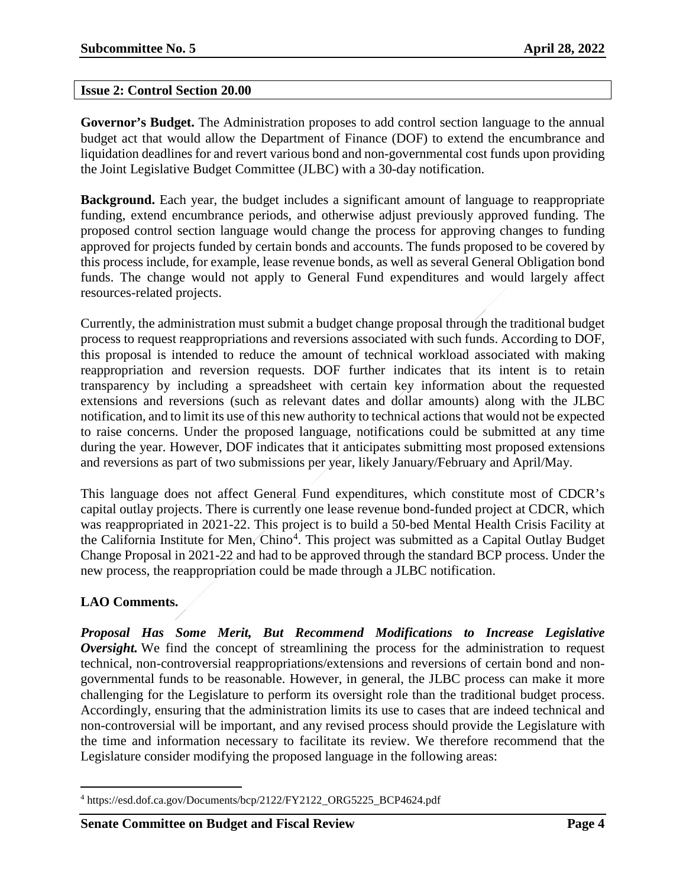#### <span id="page-3-0"></span>**Issue 2: Control Section 20.00**

**Governor's Budget.** The Administration proposes to add control section language to the annual budget act that would allow the Department of Finance (DOF) to extend the encumbrance and liquidation deadlines for and revert various bond and non-governmental cost funds upon providing the Joint Legislative Budget Committee (JLBC) with a 30-day notification.

**Background.** Each year, the budget includes a significant amount of language to reappropriate funding, extend encumbrance periods, and otherwise adjust previously approved funding. The proposed control section language would change the process for approving changes to funding approved for projects funded by certain bonds and accounts. The funds proposed to be covered by this process include, for example, lease revenue bonds, as well as several General Obligation bond funds. The change would not apply to General Fund expenditures and would largely affect resources-related projects.

Currently, the administration must submit a budget change proposal through the traditional budget process to request reappropriations and reversions associated with such funds. According to DOF, this proposal is intended to reduce the amount of technical workload associated with making reappropriation and reversion requests. DOF further indicates that its intent is to retain transparency by including a spreadsheet with certain key information about the requested extensions and reversions (such as relevant dates and dollar amounts) along with the JLBC notification, and to limit its use of this new authority to technical actions that would not be expected to raise concerns. Under the proposed language, notifications could be submitted at any time during the year. However, DOF indicates that it anticipates submitting most proposed extensions and reversions as part of two submissions per year, likely January/February and April/May.

This language does not affect General Fund expenditures, which constitute most of CDCR's capital outlay projects. There is currently one lease revenue bond-funded project at CDCR, which was reappropriated in 2021-22. This project is to build a 50-bed Mental Health Crisis Facility at the California Institute for Men, Chino<sup>[4](#page-3-1)</sup>. This project was submitted as a Capital Outlay Budget Change Proposal in 2021-22 and had to be approved through the standard BCP process. Under the new process, the reappropriation could be made through a JLBC notification.

### **LAO Comments.**

*Proposal Has Some Merit, But Recommend Modifications to Increase Legislative Oversight.* We find the concept of streamlining the process for the administration to request technical, non-controversial reappropriations/extensions and reversions of certain bond and nongovernmental funds to be reasonable. However, in general, the JLBC process can make it more challenging for the Legislature to perform its oversight role than the traditional budget process. Accordingly, ensuring that the administration limits its use to cases that are indeed technical and non-controversial will be important, and any revised process should provide the Legislature with the time and information necessary to facilitate its review. We therefore recommend that the Legislature consider modifying the proposed language in the following areas:

<span id="page-3-1"></span> <sup>4</sup> [https://esd.dof.ca.gov/Documents/bcp/2122/FY2122\\_ORG5225\\_BCP4624.pdf](https://esd.dof.ca.gov/Documents/bcp/2122/FY2122_ORG5225_BCP4624.pdf)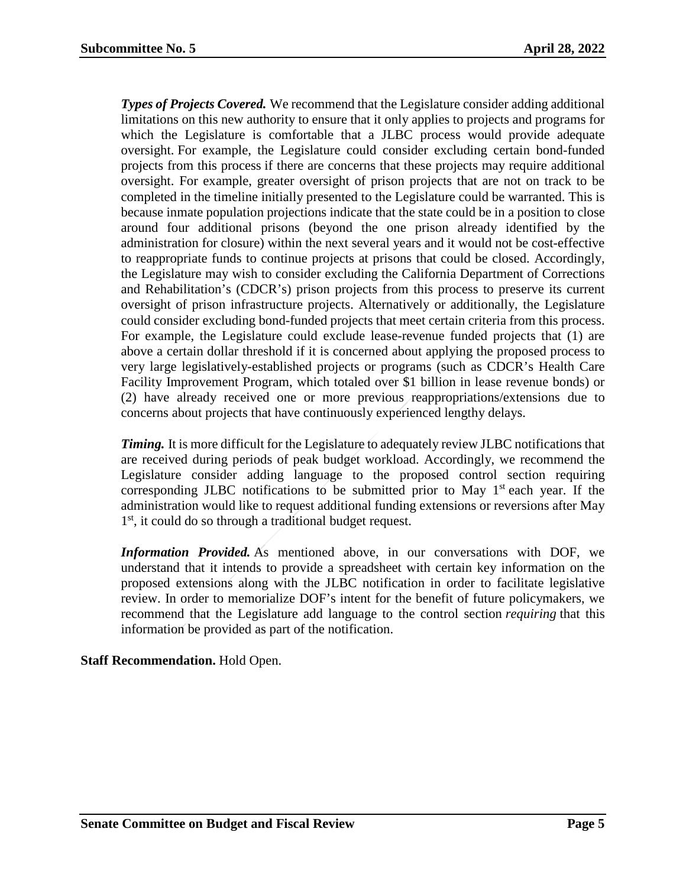*Types of Projects Covered.* We recommend that the Legislature consider adding additional limitations on this new authority to ensure that it only applies to projects and programs for which the Legislature is comfortable that a JLBC process would provide adequate oversight. For example, the Legislature could consider excluding certain bond-funded projects from this process if there are concerns that these projects may require additional oversight. For example, greater oversight of prison projects that are not on track to be completed in the timeline initially presented to the Legislature could be warranted. This is because inmate population projections indicate that the state could be in a position to close around four additional prisons (beyond the one prison already identified by the administration for closure) within the next several years and it would not be cost-effective to reappropriate funds to continue projects at prisons that could be closed. Accordingly, the Legislature may wish to consider excluding the California Department of Corrections and Rehabilitation's (CDCR's) prison projects from this process to preserve its current oversight of prison infrastructure projects. Alternatively or additionally, the Legislature could consider excluding bond-funded projects that meet certain criteria from this process. For example, the Legislature could exclude lease-revenue funded projects that (1) are above a certain dollar threshold if it is concerned about applying the proposed process to very large legislatively-established projects or programs (such as CDCR's Health Care Facility Improvement Program, which totaled over \$1 billion in lease revenue bonds) or (2) have already received one or more previous reappropriations/extensions due to concerns about projects that have continuously experienced lengthy delays.

*Timing.* It is more difficult for the Legislature to adequately review JLBC notifications that are received during periods of peak budget workload. Accordingly, we recommend the Legislature consider adding language to the proposed control section requiring corresponding JLBC notifications to be submitted prior to May  $1<sup>st</sup>$  each year. If the administration would like to request additional funding extensions or reversions after May 1<sup>st</sup>, it could do so through a traditional budget request.

*Information Provided.* As mentioned above, in our conversations with DOF, we understand that it intends to provide a spreadsheet with certain key information on the proposed extensions along with the JLBC notification in order to facilitate legislative review. In order to memorialize DOF's intent for the benefit of future policymakers, we recommend that the Legislature add language to the control section *requiring* that this information be provided as part of the notification.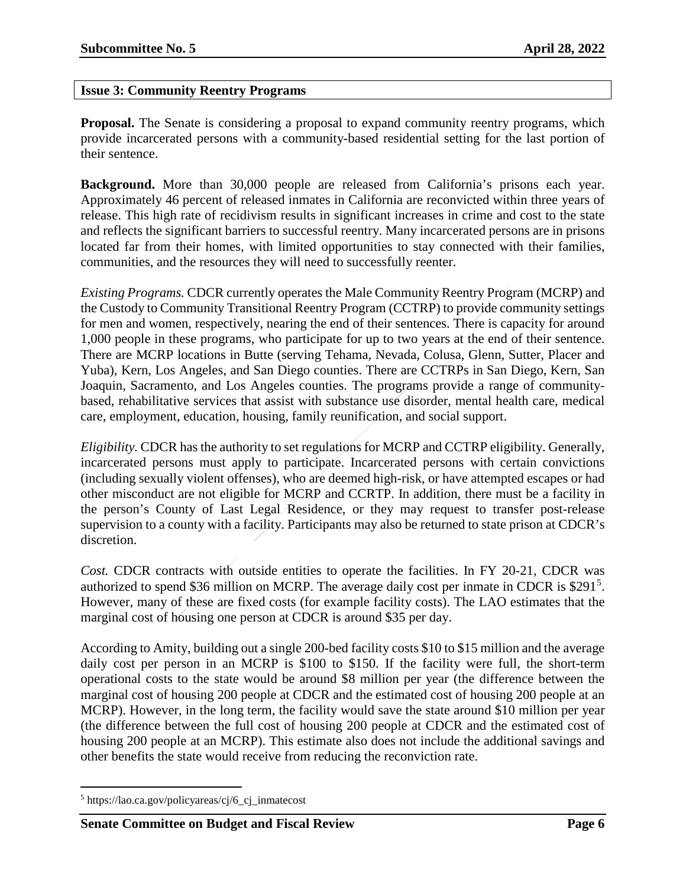#### <span id="page-5-0"></span>**Issue 3: Community Reentry Programs**

**Proposal.** The Senate is considering a proposal to expand community reentry programs, which provide incarcerated persons with a community-based residential setting for the last portion of their sentence.

**Background.** More than 30,000 people are released from California's prisons each year. Approximately 46 percent of released inmates in California are reconvicted within three years of release. This high rate of recidivism results in significant increases in crime and cost to the state and reflects the significant barriers to successful reentry. Many incarcerated persons are in prisons located far from their homes, with limited opportunities to stay connected with their families, communities, and the resources they will need to successfully reenter.

*Existing Programs.* CDCR currently operates the Male Community Reentry Program (MCRP) and the Custody to Community Transitional Reentry Program (CCTRP) to provide community settings for men and women, respectively, nearing the end of their sentences. There is capacity for around 1,000 people in these programs, who participate for up to two years at the end of their sentence. There are MCRP locations in Butte (serving Tehama, Nevada, Colusa, Glenn, Sutter, Placer and Yuba), Kern, Los Angeles, and San Diego counties. There are CCTRPs in San Diego, Kern, San Joaquin, Sacramento, and Los Angeles counties. The programs provide a range of communitybased, rehabilitative services that assist with substance use disorder, mental health care, medical care, employment, education, housing, family reunification, and social support.

*Eligibility.* CDCR has the authority to set regulations for MCRP and CCTRP eligibility. Generally, incarcerated persons must apply to participate. Incarcerated persons with certain convictions (including sexually violent offenses), who are deemed high-risk, or have attempted escapes or had other misconduct are not eligible for MCRP and CCRTP. In addition, there must be a facility in the person's County of Last Legal Residence, or they may request to transfer post-release supervision to a county with a facility. Participants may also be returned to state prison at CDCR's discretion.

*Cost.* CDCR contracts with outside entities to operate the facilities. In FY 20-21, CDCR was authorized to spend \$36 million on MCRP. The average daily cost per inmate in CDCR is \$291<sup>[5](#page-5-1)</sup>. However, many of these are fixed costs (for example facility costs). The LAO estimates that the marginal cost of housing one person at CDCR is around \$35 per day.

According to Amity, building out a single 200-bed facility costs \$10 to \$15 million and the average daily cost per person in an MCRP is \$100 to \$150. If the facility were full, the short-term operational costs to the state would be around \$8 million per year (the difference between the marginal cost of housing 200 people at CDCR and the estimated cost of housing 200 people at an MCRP). However, in the long term, the facility would save the state around \$10 million per year (the difference between the full cost of housing 200 people at CDCR and the estimated cost of housing 200 people at an MCRP). This estimate also does not include the additional savings and other benefits the state would receive from reducing the reconviction rate.

<span id="page-5-1"></span> <sup>5</sup> https://lao.ca.gov/policyareas/cj/6\_cj\_inmatecost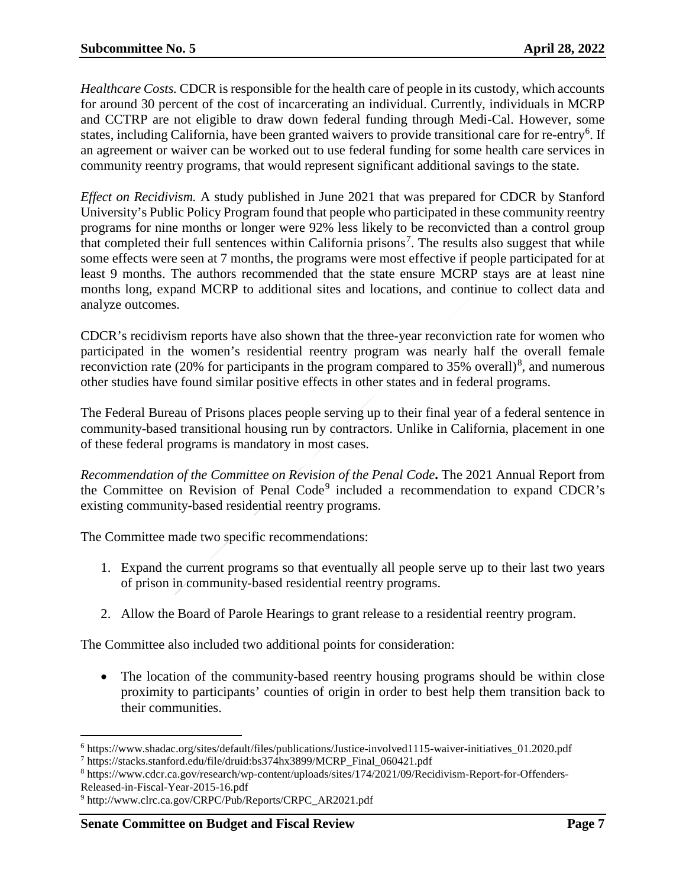*Healthcare Costs.* CDCR is responsible for the health care of people in its custody, which accounts for around 30 percent of the cost of incarcerating an individual. Currently, individuals in MCRP and CCTRP are not eligible to draw down federal funding through Medi-Cal. However, some states, including California, have been granted waivers to provide transitional care for re-entry<sup>[6](#page-6-0)</sup>. If an agreement or waiver can be worked out to use federal funding for some health care services in community reentry programs, that would represent significant additional savings to the state.

*Effect on Recidivism.* A study published in June 2021 that was prepared for CDCR by Stanford University's Public Policy Program found that people who participated in these community reentry programs for nine months or longer were 92% less likely to be reconvicted than a control group that completed their full sentences within California prisons<sup>[7](#page-6-1)</sup>. The results also suggest that while some effects were seen at 7 months, the programs were most effective if people participated for at least 9 months. The authors recommended that the state ensure MCRP stays are at least nine months long, expand MCRP to additional sites and locations, and continue to collect data and analyze outcomes.

CDCR's recidivism reports have also shown that the three-year reconviction rate for women who participated in the women's residential reentry program was nearly half the overall female reconviction rate (20% for participants in the program compared to 35% overall)<sup>[8](#page-6-2)</sup>, and numerous other studies have found similar positive effects in other states and in federal programs.

The Federal Bureau of Prisons places people serving up to their final year of a federal sentence in community-based transitional housing run by contractors. Unlike in California, placement in one of these federal programs is mandatory in most cases.

*Recommendation of the Committee on Revision of the Penal Code***.** The 2021 Annual Report from the Committee on Revision of Penal Code<sup>[9](#page-6-3)</sup> included a recommendation to expand CDCR's existing community-based residential reentry programs.

The Committee made two specific recommendations:

- 1. Expand the current programs so that eventually all people serve up to their last two years of prison in community-based residential reentry programs.
- 2. Allow the Board of Parole Hearings to grant release to a residential reentry program.

The Committee also included two additional points for consideration:

• The location of the community-based reentry housing programs should be within close proximity to participants' counties of origin in order to best help them transition back to their communities.

<span id="page-6-0"></span> <sup>6</sup> https://www.shadac.org/sites/default/files/publications/Justice-involved1115-waiver-initiatives\_01.2020.pdf

<span id="page-6-1"></span><sup>7</sup> https://stacks.stanford.edu/file/druid:bs374hx3899/MCRP\_Final\_060421.pdf

<span id="page-6-2"></span><sup>8</sup> https://www.cdcr.ca.gov/research/wp-content/uploads/sites/174/2021/09/Recidivism-Report-for-Offenders-Released-in-Fiscal-Year-2015-16.pdf

<span id="page-6-3"></span><sup>9</sup> http://www.clrc.ca.gov/CRPC/Pub/Reports/CRPC\_AR2021.pdf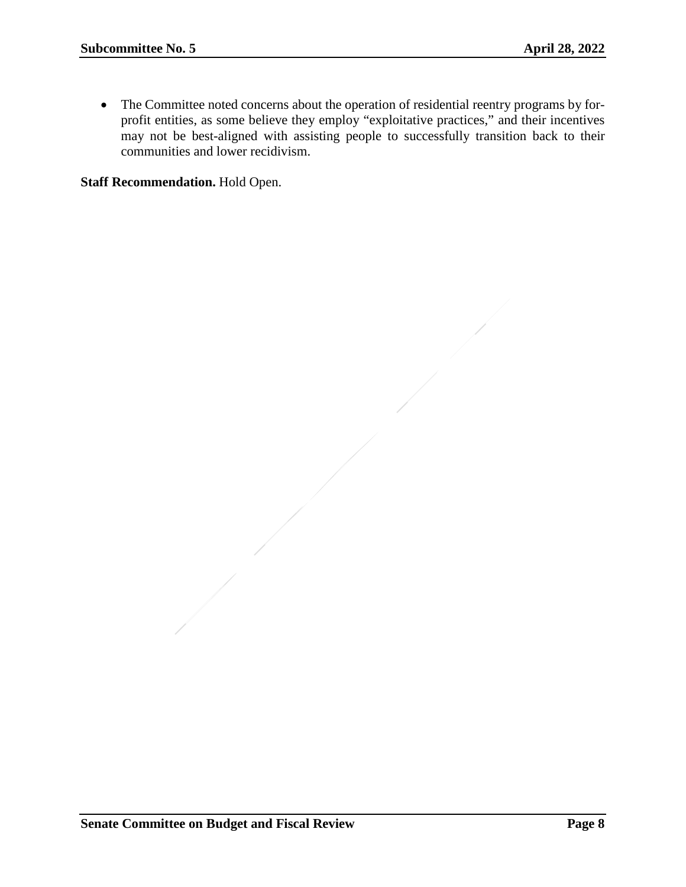• The Committee noted concerns about the operation of residential reentry programs by forprofit entities, as some believe they employ "exploitative practices," and their incentives may not be best-aligned with assisting people to successfully transition back to their communities and lower recidivism.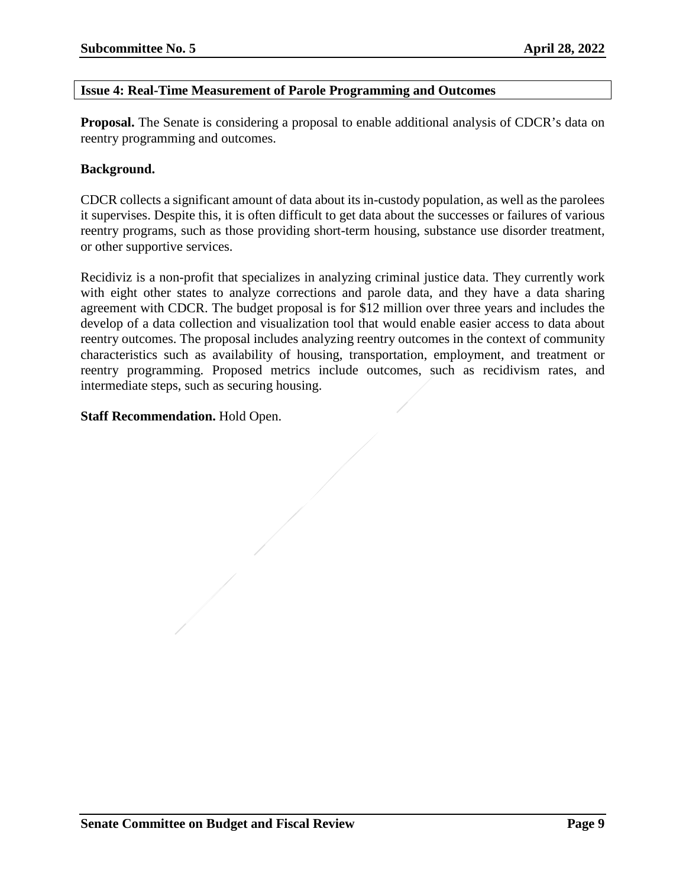#### <span id="page-8-0"></span>**Issue 4: Real-Time Measurement of Parole Programming and Outcomes**

**Proposal.** The Senate is considering a proposal to enable additional analysis of CDCR's data on reentry programming and outcomes.

#### **Background.**

CDCR collects a significant amount of data about its in-custody population, as well as the parolees it supervises. Despite this, it is often difficult to get data about the successes or failures of various reentry programs, such as those providing short-term housing, substance use disorder treatment, or other supportive services.

Recidiviz is a non-profit that specializes in analyzing criminal justice data. They currently work with eight other states to analyze corrections and parole data, and they have a data sharing agreement with CDCR. The budget proposal is for \$12 million over three years and includes the develop of a data collection and visualization tool that would enable easier access to data about reentry outcomes. The proposal includes analyzing reentry outcomes in the context of community characteristics such as availability of housing, transportation, employment, and treatment or reentry programming. Proposed metrics include outcomes, such as recidivism rates, and intermediate steps, such as securing housing.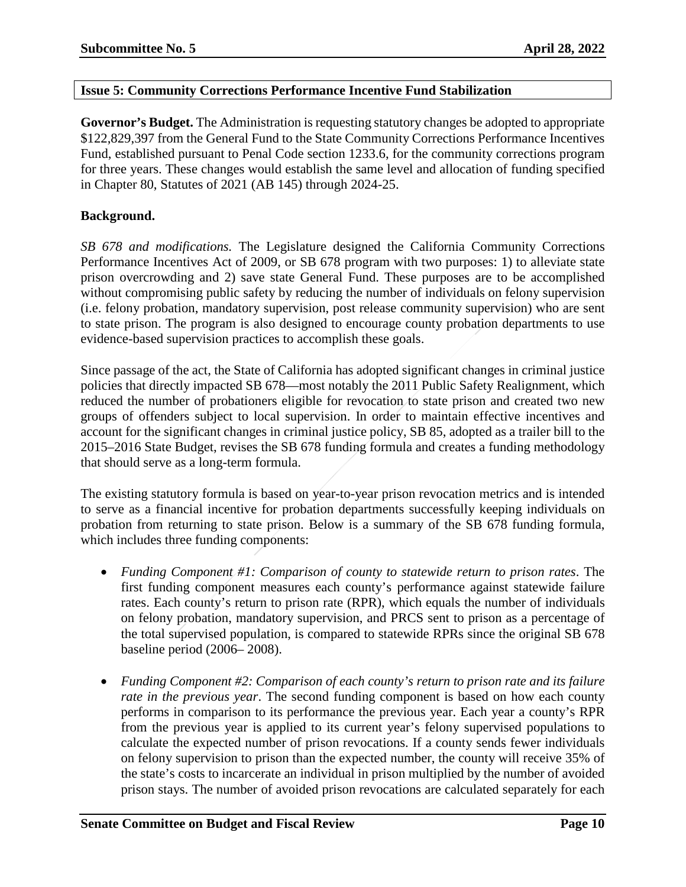#### <span id="page-9-0"></span>**Issue 5: Community Corrections Performance Incentive Fund Stabilization**

**Governor's Budget.** The Administration is requesting statutory changes be adopted to appropriate \$122,829,397 from the General Fund to the State Community Corrections Performance Incentives Fund, established pursuant to Penal Code section 1233.6, for the community corrections program for three years. These changes would establish the same level and allocation of funding specified in Chapter 80, Statutes of 2021 (AB 145) through 2024-25.

#### **Background.**

*SB 678 and modifications.* The Legislature designed the California Community Corrections Performance Incentives Act of 2009, or SB 678 program with two purposes: 1) to alleviate state prison overcrowding and 2) save state General Fund. These purposes are to be accomplished without compromising public safety by reducing the number of individuals on felony supervision (i.e. felony probation, mandatory supervision, post release community supervision) who are sent to state prison. The program is also designed to encourage county probation departments to use evidence-based supervision practices to accomplish these goals.

Since passage of the act, the State of California has adopted significant changes in criminal justice policies that directly impacted SB 678—most notably the 2011 Public Safety Realignment, which reduced the number of probationers eligible for revocation to state prison and created two new groups of offenders subject to local supervision. In order to maintain effective incentives and account for the significant changes in criminal justice policy, SB 85, adopted as a trailer bill to the 2015–2016 State Budget, revises the SB 678 funding formula and creates a funding methodology that should serve as a long-term formula.

The existing statutory formula is based on year-to-year prison revocation metrics and is intended to serve as a financial incentive for probation departments successfully keeping individuals on probation from returning to state prison. Below is a summary of the SB 678 funding formula, which includes three funding components:

- *Funding Component #1: Comparison of county to statewide return to prison rates*. The first funding component measures each county's performance against statewide failure rates. Each county's return to prison rate (RPR), which equals the number of individuals on felony probation, mandatory supervision, and PRCS sent to prison as a percentage of the total supervised population, is compared to statewide RPRs since the original SB 678 baseline period (2006– 2008).
- *Funding Component #2: Comparison of each county's return to prison rate and its failure rate in the previous year*. The second funding component is based on how each county performs in comparison to its performance the previous year. Each year a county's RPR from the previous year is applied to its current year's felony supervised populations to calculate the expected number of prison revocations. If a county sends fewer individuals on felony supervision to prison than the expected number, the county will receive 35% of the state's costs to incarcerate an individual in prison multiplied by the number of avoided prison stays. The number of avoided prison revocations are calculated separately for each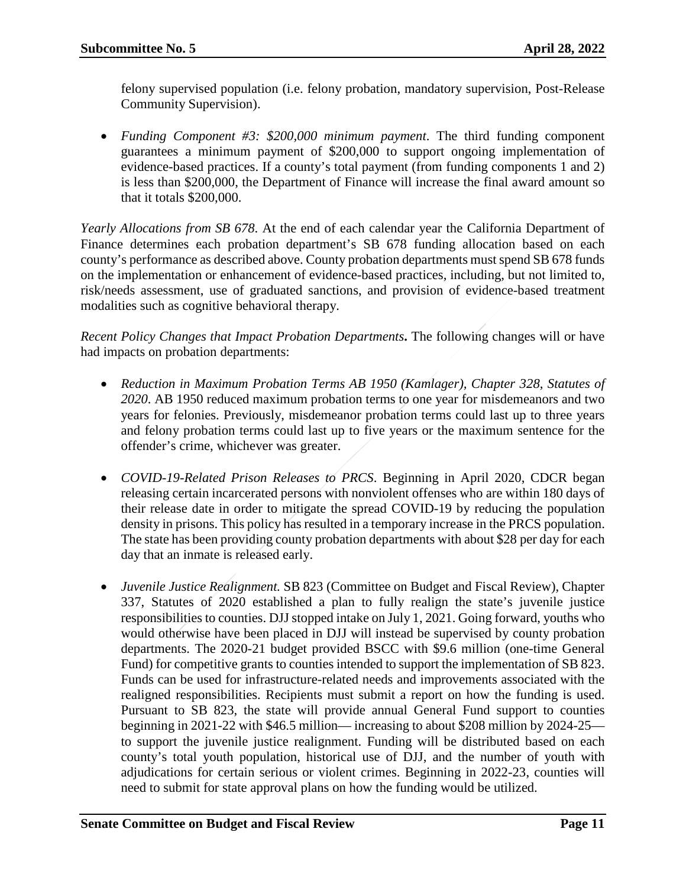felony supervised population (i.e. felony probation, mandatory supervision, Post-Release Community Supervision).

• *Funding Component #3: \$200,000 minimum payment*. The third funding component guarantees a minimum payment of \$200,000 to support ongoing implementation of evidence-based practices. If a county's total payment (from funding components 1 and 2) is less than \$200,000, the Department of Finance will increase the final award amount so that it totals \$200,000.

*Yearly Allocations from SB 678*. At the end of each calendar year the California Department of Finance determines each probation department's SB 678 funding allocation based on each county's performance as described above. County probation departments must spend SB 678 funds on the implementation or enhancement of evidence-based practices, including, but not limited to, risk/needs assessment, use of graduated sanctions, and provision of evidence-based treatment modalities such as cognitive behavioral therapy.

*Recent Policy Changes that Impact Probation Departments***.** The following changes will or have had impacts on probation departments:

- *Reduction in Maximum Probation Terms AB 1950 (Kamlager), Chapter 328, Statutes of 2020*. AB 1950 reduced maximum probation terms to one year for misdemeanors and two years for felonies. Previously, misdemeanor probation terms could last up to three years and felony probation terms could last up to five years or the maximum sentence for the offender's crime, whichever was greater.
- *COVID-19-Related Prison Releases to PRCS*. Beginning in April 2020, CDCR began releasing certain incarcerated persons with nonviolent offenses who are within 180 days of their release date in order to mitigate the spread COVID-19 by reducing the population density in prisons. This policy has resulted in a temporary increase in the PRCS population. The state has been providing county probation departments with about \$28 per day for each day that an inmate is released early.
- *Juvenile Justice Realignment.* SB 823 (Committee on Budget and Fiscal Review), Chapter 337, Statutes of 2020 established a plan to fully realign the state's juvenile justice responsibilities to counties. DJJ stopped intake on July 1, 2021. Going forward, youths who would otherwise have been placed in DJJ will instead be supervised by county probation departments. The 2020-21 budget provided BSCC with \$9.6 million (one-time General Fund) for competitive grants to counties intended to support the implementation of SB 823. Funds can be used for infrastructure-related needs and improvements associated with the realigned responsibilities. Recipients must submit a report on how the funding is used. Pursuant to SB 823, the state will provide annual General Fund support to counties beginning in 2021-22 with \$46.5 million— increasing to about \$208 million by 2024-25 to support the juvenile justice realignment. Funding will be distributed based on each county's total youth population, historical use of DJJ, and the number of youth with adjudications for certain serious or violent crimes. Beginning in 2022-23, counties will need to submit for state approval plans on how the funding would be utilized.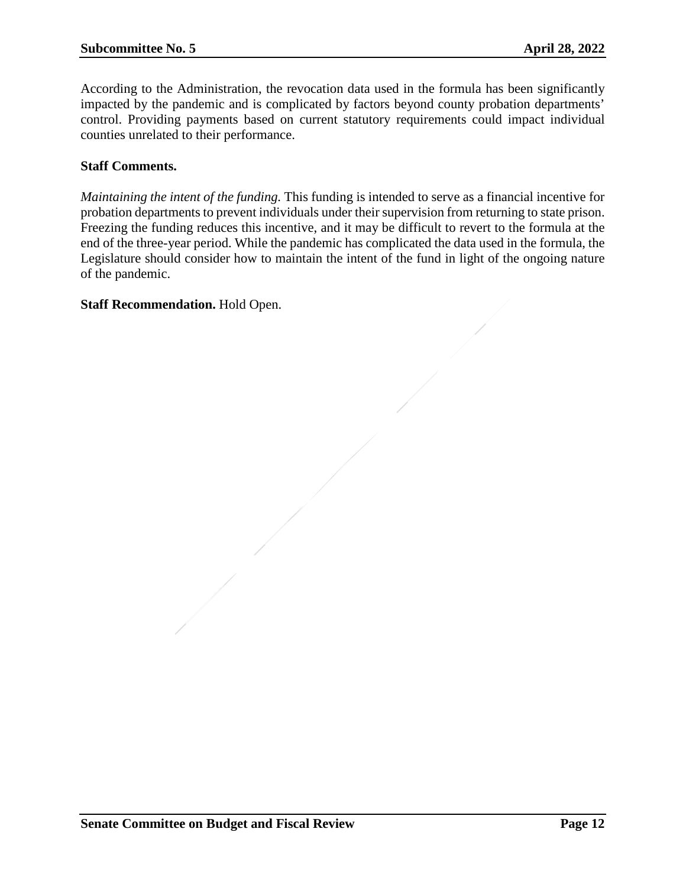According to the Administration, the revocation data used in the formula has been significantly impacted by the pandemic and is complicated by factors beyond county probation departments' control. Providing payments based on current statutory requirements could impact individual counties unrelated to their performance.

#### **Staff Comments.**

*Maintaining the intent of the funding.* This funding is intended to serve as a financial incentive for probation departments to prevent individuals under their supervision from returning to state prison. Freezing the funding reduces this incentive, and it may be difficult to revert to the formula at the end of the three-year period. While the pandemic has complicated the data used in the formula, the Legislature should consider how to maintain the intent of the fund in light of the ongoing nature of the pandemic.